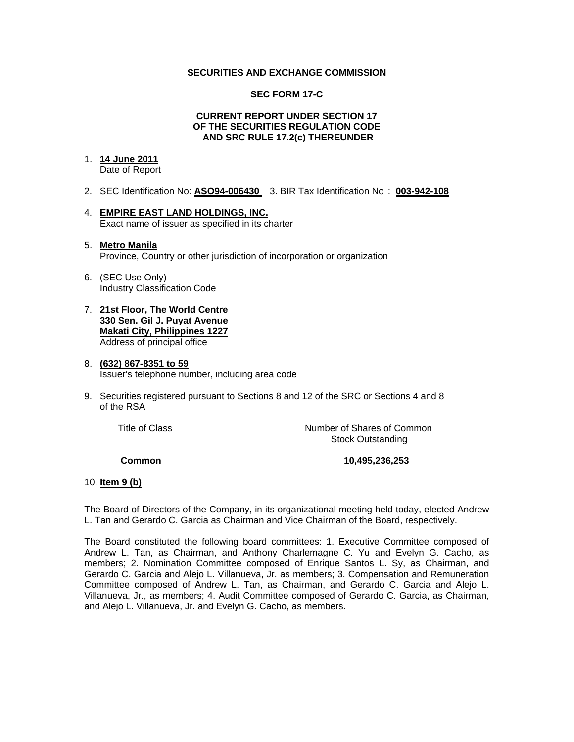### **SECURITIES AND EXCHANGE COMMISSION**

### **SEC FORM 17-C**

#### **CURRENT REPORT UNDER SECTION 17 OF THE SECURITIES REGULATION CODE AND SRC RULE 17.2(c) THEREUNDER**

## 1. **14 June 2011**

Date of Report

- 2. SEC Identification No: **ASO94-006430** 3. BIR Tax Identification No : **003-942-108**
- 4. **EMPIRE EAST LAND HOLDINGS, INC.** Exact name of issuer as specified in its charter

### 5. **Metro Manila** Province, Country or other jurisdiction of incorporation or organization

- 6. (SEC Use Only) Industry Classification Code
- 7. **21st Floor, The World Centre 330 Sen. Gil J. Puyat Avenue Makati City, Philippines 1227** Address of principal office

#### 8. **(632) 867-8351 to 59** Issuer's telephone number, including area code

9. Securities registered pursuant to Sections 8 and 12 of the SRC or Sections 4 and 8 of the RSA

 Title of ClassNumber of Shares of Common Stock Outstanding

 **Common 10,495,236,253** 

## 10. **Item 9 (b)**

The Board of Directors of the Company, in its organizational meeting held today, elected Andrew L. Tan and Gerardo C. Garcia as Chairman and Vice Chairman of the Board, respectively.

The Board constituted the following board committees: 1. Executive Committee composed of Andrew L. Tan, as Chairman, and Anthony Charlemagne C. Yu and Evelyn G. Cacho, as members; 2. Nomination Committee composed of Enrique Santos L. Sy, as Chairman, and Gerardo C. Garcia and Alejo L. Villanueva, Jr. as members; 3. Compensation and Remuneration Committee composed of Andrew L. Tan, as Chairman, and Gerardo C. Garcia and Alejo L. Villanueva, Jr., as members; 4. Audit Committee composed of Gerardo C. Garcia, as Chairman, and Alejo L. Villanueva, Jr. and Evelyn G. Cacho, as members.